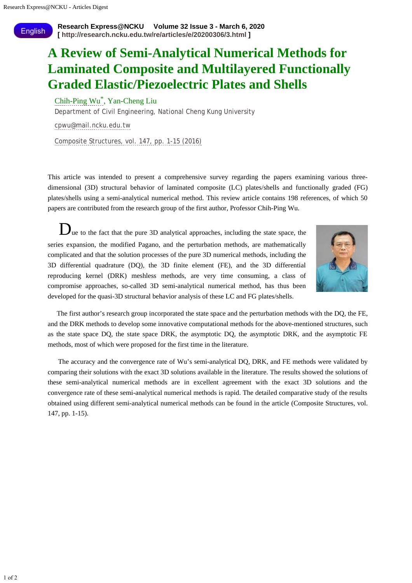**English** 

## **A Review of Semi-Analytical Numerical Methods for Laminated Composite and Multilayered Functionally Graded Elastic/Piezoelectric Plates and Shells**

## [Chih-Ping Wu\\*](http://radb.ncku.edu.tw/Personal_Report/profile.php?s=NzcwODAyOSA7YWxsOzsxO3BlcnNvbmFsX3JlcG9ydF9jc3NfMQ==), Yan-Cheng Liu

Department of Civil Engineering, National Cheng Kung University

[cpwu@mail.ncku.edu.tw](mailto:cpwu@mail.ncku.edu.tw)

[Composite Structures, vol. 147, pp. 1-15 \(2016\)](https://doi.org/10.1016/j.compstruct.2016.03.031)

This article was intended to present a comprehensive survey regarding the papers examining various threedimensional (3D) structural behavior of laminated composite (LC) plates/shells and functionally graded (FG) plates/shells using a semi-analytical numerical method. This review article contains 198 references, of which 50 papers are contributed from the research group of the first author, Professor Chih-Ping Wu.

 $\mathbf{D}_{\text{ue}}$  to the fact that the pure 3D analytical approaches, including the state space, the series expansion, the modified Pagano, and the perturbation methods, are mathematically complicated and that the solution processes of the pure 3D numerical methods, including the 3D differential quadrature (DQ), the 3D finite element (FE), and the 3D differential reproducing kernel (DRK) meshless methods, are very time consuming, a class of compromise approaches, so-called 3D semi-analytical numerical method, has thus been developed for the quasi-3D structural behavior analysis of these LC and FG plates/shells.



 The first author's research group incorporated the state space and the perturbation methods with the DQ, the FE, and the DRK methods to develop some innovative computational methods for the above-mentioned structures, such as the state space DQ, the state space DRK, the asymptotic DQ, the asymptotic DRK, and the asymptotic FE methods, most of which were proposed for the first time in the literature.

 The accuracy and the convergence rate of Wu's semi-analytical DQ, DRK, and FE methods were validated by comparing their solutions with the exact 3D solutions available in the literature. The results showed the solutions of these semi-analytical numerical methods are in excellent agreement with the exact 3D solutions and the convergence rate of these semi-analytical numerical methods is rapid. The detailed comparative study of the results obtained using different semi-analytical numerical methods can be found in the article (Composite Structures, vol. 147, pp. 1-15).